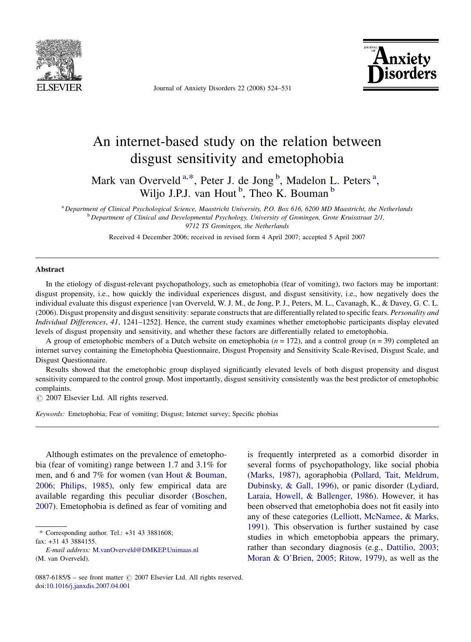

Journal of Anxiety Disorders 22 (2008) 524–531



# An internet-based study on the relation between disgust sensitivity and emetophobia

Mark van Overveld<sup>a,\*</sup>, Peter J. de Jong<sup>b</sup>, Madelon L. Peters<sup>a</sup>, Wiljo J.P.J. van Hout<sup>b</sup>, Theo K. Bouman<sup>b</sup>

<sup>a</sup> Department of Clinical Psychological Science, Maastricht University, P.O. Box 616, 6200 MD Maastricht, the Netherlands <sup>b</sup> Department of Clinical and Developmental Psychology, University of Groningen, Grote Kruisstraat 2/1, 9712 TS Groningen, the Netherlands

Received 4 December 2006; received in revised form 4 April 2007; accepted 5 April 2007

### Abstract

In the etiology of disgust-relevant psychopathology, such as emetophobia (fear of vomiting), two factors may be important: disgust propensity, i.e., how quickly the individual experiences disgust, and disgust sensitivity, i.e., how negatively does the individual evaluate this disgust experience [van Overveld, W. J. M., de Jong, P. J., Peters, M. L., Cavanagh, K., & Davey, G. C. L. (2006). Disgust propensity and disgust sensitivity: separate constructs that are differentially related to specific fears. *Personality and* Individual Differences, 41, 1241–1252]. Hence, the current study examines whether emetophobic participants display elevated levels of disgust propensity and sensitivity, and whether these factors are differentially related to emetophobia.

A group of emetophobic members of a Dutch website on emetophobia ( $n = 172$ ), and a control group ( $n = 39$ ) completed an internet survey containing the Emetophobia Questionnaire, Disgust Propensity and Sensitivity Scale-Revised, Disgust Scale, and Disgust Questionnaire.

Results showed that the emetophobic group displayed significantly elevated levels of both disgust propensity and disgust sensitivity compared to the control group. Most importantly, disgust sensitivity consistently was the best predictor of emetophobic complaints.

 $\odot$  2007 Elsevier Ltd. All rights reserved.

Keywords: Emetophobia; Fear of vomiting; Disgust; Internet survey; Specific phobias

Although estimates on the prevalence of emetophobia (fear of vomiting) range between 1.7 and 3.1% for men, and 6 and 7% for women ([van Hout & Bouman,](#page-7-0) [2006](#page-7-0); [Philips, 1985](#page-7-0)), only few empirical data are available regarding this peculiar disorder [\(Boschen,](#page-7-0) [2007](#page-7-0)). Emetophobia is defined as fear of vomiting and

is frequently interpreted as a comorbid disorder in several forms of psychopathology, like social phobia ([Marks, 1987\)](#page-7-0), agoraphobia [\(Pollard, Tait, Meldrum,](#page-7-0) [Dubinsky, & Gall, 1996](#page-7-0)), or panic disorder ([Lydiard,](#page-7-0) [Laraia, Howell, & Ballenger, 1986\)](#page-7-0). However, it has been observed that emetophobia does not fit easily into any of these categories ([Lelliott, McNamee, & Marks,](#page-7-0) [1991](#page-7-0)). This observation is further sustained by case studies in which emetophobia appears the primary, rather than secondary diagnosis (e.g., [Dattilio, 2003;](#page-7-0) [Moran & O'Brien, 2005](#page-7-0); [Ritow, 1979\)](#page-7-0), as well as the

<sup>\*</sup> Corresponding author. Tel.: +31 43 3881608;

fax: +31 43 3884155.

E-mail address: [M.vanOverveld@DMKEP.Unimaas.nl](mailto:M.vanOverveld@DMKEP.Unimaas.nl) (M. van Overveld).

<sup>0887-6185/\$ –</sup> see front matter  $\odot$  2007 Elsevier Ltd. All rights reserved. doi:[10.1016/j.janxdis.2007.04.001](http://dx.doi.org/10.1016/j.janxdis.2007.04.001)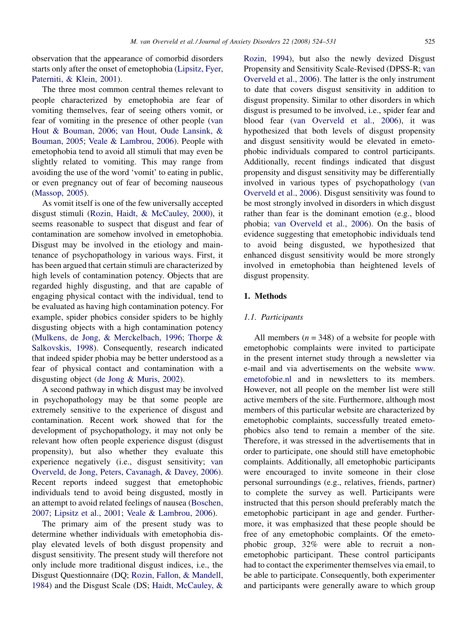observation that the appearance of comorbid disorders starts only after the onset of emetophobia [\(Lipsitz, Fyer,](#page-7-0) [Paterniti, & Klein, 2001\)](#page-7-0).

The three most common central themes relevant to people characterized by emetophobia are fear of vomiting themselves, fear of seeing others vomit, or fear of vomiting in the presence of other people ([van](#page-7-0) [Hout & Bouman, 2006;](#page-7-0) [van Hout, Oude Lansink, &](#page-7-0) [Bouman, 2005](#page-7-0); [Veale & Lambrou, 2006](#page-7-0)). People with emetophobia tend to avoid all stimuli that may even be slightly related to vomiting. This may range from avoiding the use of the word 'vomit' to eating in public, or even pregnancy out of fear of becoming nauseous [\(Massop, 2005\)](#page-7-0).

As vomit itself is one of the few universally accepted disgust stimuli [\(Rozin, Haidt, & McCauley, 2000\)](#page-7-0), it seems reasonable to suspect that disgust and fear of contamination are somehow involved in emetophobia. Disgust may be involved in the etiology and maintenance of psychopathology in various ways. First, it has been argued that certain stimuli are characterized by high levels of contamination potency. Objects that are regarded highly disgusting, and that are capable of engaging physical contact with the individual, tend to be evaluated as having high contamination potency. For example, spider phobics consider spiders to be highly disgusting objects with a high contamination potency [\(Mulkens, de Jong, & Merckelbach, 1996;](#page-7-0) [Thorpe &](#page-7-0) [Salkovskis, 1998](#page-7-0)). Consequently, research indicated that indeed spider phobia may be better understood as a fear of physical contact and contamination with a disgusting object [\(de Jong & Muris, 2002](#page-7-0)).

A second pathway in which disgust may be involved in psychopathology may be that some people are extremely sensitive to the experience of disgust and contamination. Recent work showed that for the development of psychopathology, it may not only be relevant how often people experience disgust (disgust propensity), but also whether they evaluate this experience negatively (i.e., disgust sensitivity; [van](#page-7-0) [Overveld, de Jong, Peters, Cavanagh, & Davey, 2006](#page-7-0)). Recent reports indeed suggest that emetophobic individuals tend to avoid being disgusted, mostly in an attempt to avoid related feelings of nausea [\(Boschen,](#page-7-0) [2007; Lipsitz et al., 2001](#page-7-0); [Veale & Lambrou, 2006\)](#page-7-0).

The primary aim of the present study was to determine whether individuals with emetophobia display elevated levels of both disgust propensity and disgust sensitivity. The present study will therefore not only include more traditional disgust indices, i.e., the Disgust Questionnaire (DQ; [Rozin, Fallon, & Mandell,](#page-7-0) [1984\)](#page-7-0) and the Disgust Scale (DS; [Haidt, McCauley, &](#page-7-0)

[Rozin, 1994](#page-7-0)), but also the newly devized Disgust Propensity and Sensitivity Scale-Revised (DPSS-R; [van](#page-7-0) [Overveld et al., 2006](#page-7-0)). The latter is the only instrument to date that covers disgust sensitivity in addition to disgust propensity. Similar to other disorders in which disgust is presumed to be involved, i.e., spider fear and blood fear [\(van Overveld et al., 2006\)](#page-7-0), it was hypothesized that both levels of disgust propensity and disgust sensitivity would be elevated in emetophobic individuals compared to control participants. Additionally, recent findings indicated that disgust propensity and disgust sensitivity may be differentially involved in various types of psychopathology ([van](#page-7-0) [Overveld et al., 2006](#page-7-0)). Disgust sensitivity was found to be most strongly involved in disorders in which disgust rather than fear is the dominant emotion (e.g., blood phobia; [van Overveld et al., 2006\)](#page-7-0). On the basis of evidence suggesting that emetophobic individuals tend to avoid being disgusted, we hypothesized that enhanced disgust sensitivity would be more strongly involved in emetophobia than heightened levels of disgust propensity.

### 1. Methods

## 1.1. Participants

All members  $(n = 348)$  of a website for people with emetophobic complaints were invited to participate in the present internet study through a newsletter via e-mail and via advertisements on the website [www.](http://www.emetofobie.nl/) [emetofobie.nl](http://www.emetofobie.nl/) and in newsletters to its members. However, not all people on the member list were still active members of the site. Furthermore, although most members of this particular website are characterized by emetophobic complaints, successfully treated emetophobics also tend to remain a member of the site. Therefore, it was stressed in the advertisements that in order to participate, one should still have emetophobic complaints. Additionally, all emetophobic participants were encouraged to invite someone in their close personal surroundings (e.g., relatives, friends, partner) to complete the survey as well. Participants were instructed that this person should preferably match the emetophobic participant in age and gender. Furthermore, it was emphasized that these people should be free of any emetophobic complaints. Of the emetophobic group, 32% were able to recruit a nonemetophobic participant. These control participants had to contact the experimenter themselves via email, to be able to participate. Consequently, both experimenter and participants were generally aware to which group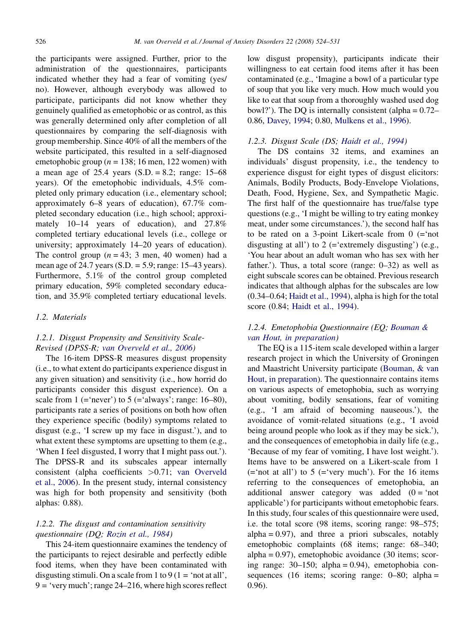the participants were assigned. Further, prior to the administration of the questionnaires, participants indicated whether they had a fear of vomiting (yes/ no). However, although everybody was allowed to participate, participants did not know whether they genuinely qualified as emetophobic or as control, as this was generally determined only after completion of all questionnaires by comparing the self-diagnosis with group membership. Since 40% of all the members of the website participated, this resulted in a self-diagnosed emetophobic group ( $n = 138$ ; 16 men, 122 women) with a mean age of 25.4 years  $(S.D. = 8.2; \text{ range: } 15-68$ years). Of the emetophobic individuals, 4.5% completed only primary education (i.e., elementary school; approximately 6–8 years of education), 67.7% completed secondary education (i.e., high school; approximately 10–14 years of education), and 27.8% completed tertiary educational levels (i.e., college or university; approximately 14–20 years of education). The control group  $(n = 43; 3$  men, 40 women) had a mean age of 24.7 years (S.D. = 5.9; range: 15–43 years). Furthermore, 5.1% of the control group completed primary education, 59% completed secondary education, and 35.9% completed tertiary educational levels.

# 1.2. Materials

# 1.2.1. Disgust Propensity and Sensitivity Scale-Revised (DPSS-R; [van Overveld et al., 2006\)](#page-7-0)

The 16-item DPSS-R measures disgust propensity (i.e., to what extent do participants experience disgust in any given situation) and sensitivity (i.e., how horrid do participants consider this disgust experience). On a scale from  $1$  (='never') to  $5$  (='always'; range: 16–80), participants rate a series of positions on both how often they experience specific (bodily) symptoms related to disgust (e.g., 'I screw up my face in disgust.'), and to what extent these symptoms are upsetting to them (e.g., 'When I feel disgusted, I worry that I might pass out.'). The DPSS-R and its subscales appear internally consistent (alpha coefficients >0.71; [van Overveld](#page-7-0) [et al., 2006](#page-7-0)). In the present study, internal consistency was high for both propensity and sensitivity (both alphas: 0.88).

# 1.2.2. The disgust and contamination sensitivity questionnaire (DQ; [Rozin et al., 1984](#page-7-0))

This 24-item questionnaire examines the tendency of the participants to reject desirable and perfectly edible food items, when they have been contaminated with disgusting stimuli. On a scale from 1 to 9 ( $1 = \text{'not at all'}$ ,  $9 = 'very much'; range 24–216, where high scores reflect$  low disgust propensity), participants indicate their willingness to eat certain food items after it has been contaminated (e.g., 'Imagine a bowl of a particular type of soup that you like very much. How much would you like to eat that soup from a thoroughly washed used dog bowl?'). The DQ is internally consistent (alpha  $= 0.72-$ 0.86, [Davey, 1994;](#page-7-0) 0.80, [Mulkens et al., 1996\)](#page-7-0).

## 1.2.3. Disgust Scale (DS; [Haidt et al., 1994](#page-7-0))

The DS contains 32 items, and examines an individuals' disgust propensity, i.e., the tendency to experience disgust for eight types of disgust elicitors: Animals, Bodily Products, Body-Envelope Violations, Death, Food, Hygiene, Sex, and Sympathetic Magic. The first half of the questionnaire has true/false type questions (e.g., 'I might be willing to try eating monkey meat, under some circumstances.'), the second half has to be rated on a 3-point Likert-scale from  $0$  (='not disgusting at all') to  $2$  (='extremely disgusting') (e.g., 'You hear about an adult woman who has sex with her father.'). Thus, a total score (range: 0–32) as well as eight subscale scores can be obtained. Previous research indicates that although alphas for the subscales are low (0.34–0.64; [Haidt et al., 1994\)](#page-7-0), alpha is high for the total score (0.84; [Haidt et al., 1994](#page-7-0)).

# 1.2.4. Emetophobia Questionnaire (EQ; [Bouman &](#page-7-0) [van Hout, in preparation](#page-7-0))

The EQ is a 115-item scale developed within a larger research project in which the University of Groningen and Maastricht University participate [\(Bouman, & van](#page-7-0) [Hout, in preparation](#page-7-0)). The questionnaire contains items on various aspects of emetophobia, such as worrying about vomiting, bodily sensations, fear of vomiting (e.g., 'I am afraid of becoming nauseous.'), the avoidance of vomit-related situations (e.g., 'I avoid being around people who look as if they may be sick.'), and the consequences of emetophobia in daily life (e.g., 'Because of my fear of vomiting, I have lost weight.'). Items have to be answered on a Likert-scale from 1  $(=$ 'not at all') to 5  $(=$ 'very much'). For the 16 items referring to the consequences of emetophobia, an additional answer category was added  $(0 = 'not$ applicable') for participants without emetophobic fears. In this study, four scales of this questionnaire were used, i.e. the total score (98 items, scoring range: 98–575;  $alpha = 0.97$ , and three a priori subscales, notably emetophobic complaints (68 items; range: 68–340; alpha = 0.97), emetophobic avoidance (30 items; scoring range:  $30-150$ ; alpha = 0.94), emetophobia consequences (16 items; scoring range:  $0-80$ ; alpha = 0.96).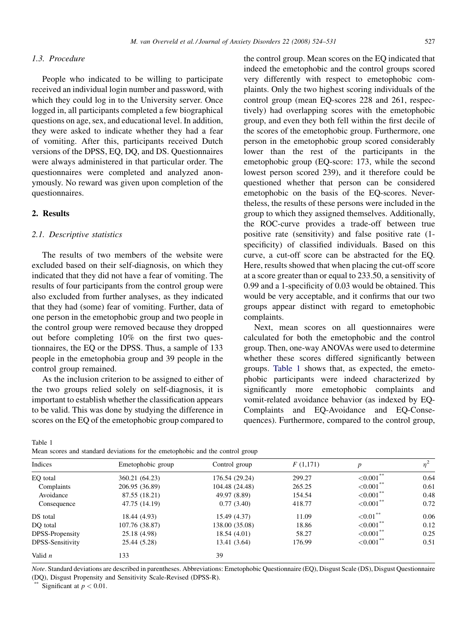1.3. Procedure

People who indicated to be willing to participate received an individual login number and password, with which they could log in to the University server. Once logged in, all participants completed a few biographical questions on age, sex, and educational level. In addition, they were asked to indicate whether they had a fear of vomiting. After this, participants received Dutch versions of the DPSS, EQ, DQ, and DS. Questionnaires were always administered in that particular order. The questionnaires were completed and analyzed anonymously. No reward was given upon completion of the questionnaires.

# 2. Results

#### 2.1. Descriptive statistics

The results of two members of the website were excluded based on their self-diagnosis, on which they indicated that they did not have a fear of vomiting. The results of four participants from the control group were also excluded from further analyses, as they indicated that they had (some) fear of vomiting. Further, data of one person in the emetophobic group and two people in the control group were removed because they dropped out before completing 10% on the first two questionnaires, the EQ or the DPSS. Thus, a sample of 133 people in the emetophobia group and 39 people in the control group remained.

As the inclusion criterion to be assigned to either of the two groups relied solely on self-diagnosis, it is important to establish whether the classification appears to be valid. This was done by studying the difference in scores on the EQ of the emetophobic group compared to indeed the emetophobic and the control groups scored very differently with respect to emetophobic complaints. Only the two highest scoring individuals of the control group (mean EQ-scores 228 and 261, respectively) had overlapping scores with the emetophobic group, and even they both fell within the first decile of the scores of the emetophobic group. Furthermore, one person in the emetophobic group scored considerably lower than the rest of the participants in the emetophobic group (EQ-score: 173, while the second lowest person scored 239), and it therefore could be questioned whether that person can be considered emetophobic on the basis of the EQ-scores. Nevertheless, the results of these persons were included in the group to which they assigned themselves. Additionally, the ROC-curve provides a trade-off between true positive rate (sensitivity) and false positive rate (1 specificity) of classified individuals. Based on this curve, a cut-off score can be abstracted for the EQ. Here, results showed that when placing the cut-off score at a score greater than or equal to 233.50, a sensitivity of 0.99 and a 1-specificity of 0.03 would be obtained. This would be very acceptable, and it confirms that our two groups appear distinct with regard to emetophobic complaints.

the control group. Mean scores on the EQ indicated that

Next, mean scores on all questionnaires were calculated for both the emetophobic and the control group. Then, one-way ANOVAs were used to determine whether these scores differed significantly between groups. Table 1 shows that, as expected, the emetophobic participants were indeed characterized by significantly more emetophobic complaints and vomit-related avoidance behavior (as indexed by EQ-Complaints and EQ-Avoidance and EQ-Consequences). Furthermore, compared to the control group,

Table 1

Mean scores and standard deviations for the emetophobic and the control group

| Indices          | Emetophobic group | Control group  | F(1,171) | p             | $\eta^2$ |
|------------------|-------------------|----------------|----------|---------------|----------|
| EO total         | 360.21 (64.23)    | 176.54 (29.24) | 299.27   | ${<}0.001$ ** | 0.64     |
| Complaints       | 206.95 (36.89)    | 104.48 (24.48) | 265.25   | ${<}0.001$ ** | 0.61     |
| Avoidance        | 87.55 (18.21)     | 49.97 (8.89)   | 154.54   | ${<}0.001$ ** | 0.48     |
| Consequence      | 47.75 (14.19)     | 0.77(3.40)     | 418.77   | ${<}0.001$ ** | 0.72     |
| DS total         | 18.44 (4.93)      | 15.49 (4.37)   | 11.09    | ${<}0.01$ **  | 0.06     |
| DO total         | 107.76 (38.87)    | 138.00 (35.08) | 18.86    | ${<}0.001$ ** | 0.12     |
| DPSS-Propensity  | 25.18 (4.98)      | 18.54 (4.01)   | 58.27    | ${<}0.001$ ** | 0.25     |
| DPSS-Sensitivity | 25.44 (5.28)      | 13.41 (3.64)   | 176.99   | ${<}0.001$ ** | 0.51     |
| Valid $n$        | 133               | 39             |          |               |          |

Note. Standard deviations are described in parentheses. Abbreviations: Emetophobic Questionnaire (EQ), Disgust Scale (DS), Disgust Questionnaire (DQ), Disgust Propensity and Sensitivity Scale-Revised (DPSS-R).

Significant at  $p < 0.01$ .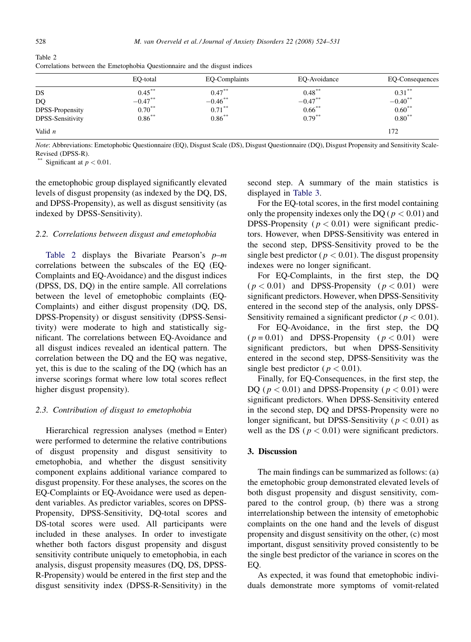|                  | EO-total   | EQ-Complaints | EO-Avoidance | EQ-Consequences |
|------------------|------------|---------------|--------------|-----------------|
| DS               | $0.45***$  | $0.47***$     | $0.48***$    | $0.31***$       |
| DQ               | $-0.47***$ | $-0.46$ **    | $-0.47***$   | $-0.40$ **      |
| DPSS-Propensity  | $0.70***$  | $0.71***$     | $0.66***$    | $0.60***$       |
| DPSS-Sensitivity | $0.86***$  | $0.86***$     | $0.79***$    | $0.80***$       |
| Valid $n$        |            |               |              | 172             |

Correlations between the Emetophobia Questionnaire and the disgust indices

Note: Abbreviations: Emetophobic Questionnaire (EQ), Disgust Scale (DS), Disgust Questionnaire (DQ), Disgust Propensity and Sensitivity Scale-Revised (DPSS-R).

Significant at  $p < 0.01$ .

the emetophobic group displayed significantly elevated levels of disgust propensity (as indexed by the DQ, DS, and DPSS-Propensity), as well as disgust sensitivity (as indexed by DPSS-Sensitivity).

## 2.2. Correlations between disgust and emetophobia

Table 2 displays the Bivariate Pearson's  $p-m$ correlations between the subscales of the EQ (EQ-Complaints and EQ-Avoidance) and the disgust indices (DPSS, DS, DQ) in the entire sample. All correlations between the level of emetophobic complaints (EQ-Complaints) and either disgust propensity (DQ, DS, DPSS-Propensity) or disgust sensitivity (DPSS-Sensitivity) were moderate to high and statistically significant. The correlations between EQ-Avoidance and all disgust indices revealed an identical pattern. The correlation between the DQ and the EQ was negative, yet, this is due to the scaling of the DQ (which has an inverse scorings format where low total scores reflect higher disgust propensity).

#### 2.3. Contribution of disgust to emetophobia

Hierarchical regression analyses (method = Enter) were performed to determine the relative contributions of disgust propensity and disgust sensitivity to emetophobia, and whether the disgust sensitivity component explains additional variance compared to disgust propensity. For these analyses, the scores on the EQ-Complaints or EQ-Avoidance were used as dependent variables. As predictor variables, scores on DPSS-Propensity, DPSS-Sensitivity, DQ-total scores and DS-total scores were used. All participants were included in these analyses. In order to investigate whether both factors disgust propensity and disgust sensitivity contribute uniquely to emetophobia, in each analysis, disgust propensity measures (DQ, DS, DPSS-R-Propensity) would be entered in the first step and the disgust sensitivity index (DPSS-R-Sensitivity) in the

second step. A summary of the main statistics is displayed in [Table 3](#page-5-0).

For the EQ-total scores, in the first model containing only the propensity indexes only the DQ ( $p < 0.01$ ) and DPSS-Propensity ( $p < 0.01$ ) were significant predictors. However, when DPSS-Sensitivity was entered in the second step, DPSS-Sensitivity proved to be the single best predictor ( $p < 0.01$ ). The disgust propensity indexes were no longer significant.

For EQ-Complaints, in the first step, the DQ  $(p < 0.01)$  and DPSS-Propensity  $(p < 0.01)$  were significant predictors. However, when DPSS-Sensitivity entered in the second step of the analysis, only DPSS-Sensitivity remained a significant predictor ( $p < 0.01$ ).

For EQ-Avoidance, in the first step, the DQ  $(p = 0.01)$  and DPSS-Propensity  $(p < 0.01)$  were significant predictors, but when DPSS-Sensitivity entered in the second step, DPSS-Sensitivity was the single best predictor ( $p < 0.01$ ).

Finally, for EQ-Consequences, in the first step, the DO ( $p < 0.01$ ) and DPSS-Propensity ( $p < 0.01$ ) were significant predictors. When DPSS-Sensitivity entered in the second step, DQ and DPSS-Propensity were no longer significant, but DPSS-Sensitivity ( $p < 0.01$ ) as well as the DS ( $p < 0.01$ ) were significant predictors.

#### 3. Discussion

The main findings can be summarized as follows: (a) the emetophobic group demonstrated elevated levels of both disgust propensity and disgust sensitivity, compared to the control group, (b) there was a strong interrelationship between the intensity of emetophobic complaints on the one hand and the levels of disgust propensity and disgust sensitivity on the other, (c) most important, disgust sensitivity proved consistently to be the single best predictor of the variance in scores on the EQ.

As expected, it was found that emetophobic individuals demonstrate more symptoms of vomit-related

Table 2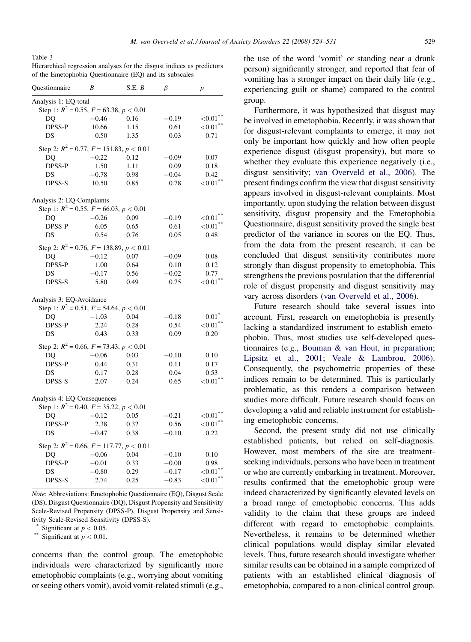<span id="page-5-0"></span>Table 3

| Questionnaire                                    | B       | S.E. B | $\beta$ | $\boldsymbol{p}$             |
|--------------------------------------------------|---------|--------|---------|------------------------------|
| Analysis 1: EQ-total                             |         |        |         |                              |
| Step 1: $R^2 = 0.55$ , $F = 63.38$ , $p < 0.01$  |         |        |         |                              |
| DO                                               | $-0.46$ | 0.16   | $-0.19$ | < 0.01                       |
| DPSS-P                                           | 10.66   | 1.15   | 0.61    | < 0.01                       |
| DS                                               | 0.50    | 1.35   | 0.03    | 0.71                         |
| Step 2: $R^2 = 0.77$ , $F = 151.83$ , $p < 0.01$ |         |        |         |                              |
| D <sub>O</sub>                                   | $-0.22$ | 0.12   | $-0.09$ | 0.07                         |
| DPSS-P                                           | 1.50    | 1.11   | 0.09    | 0.18                         |
| <b>DS</b>                                        | $-0.78$ | 0.98   | $-0.04$ | 0.42                         |
| DPSS-S                                           | 10.50   | 0.85   | 0.78    | ${<}0.01$ $\displaystyle{~}$ |
| Analysis 2: EQ-Complaints                        |         |        |         |                              |
| Step 1: $R^2 = 0.55$ , $F = 66.03$ , $p < 0.01$  |         |        |         |                              |
| DO                                               | $-0.26$ | 0.09   | $-0.19$ | < 0.01                       |
| DPSS-P                                           | 6.05    | 0.65   | 0.61    | ${<}0.01$ $\degree$          |
| DS                                               | 0.54    | 0.76   | 0.05    | 0.48                         |
| Step 2: $R^2 = 0.76$ , $F = 138.89$ , $p < 0.01$ |         |        |         |                              |
| DQ                                               | $-0.12$ | 0.07   | $-0.09$ | 0.08                         |
| DPSS-P                                           | 1.00    | 0.64   | 0.10    | 0.12                         |
| DS                                               | $-0.17$ | 0.56   | $-0.02$ | 0.77                         |
| DPSS-S                                           | 5.80    | 0.49   | 0.75    | ${<}0.01$ <sup>*</sup>       |
| Analysis 3: EQ-Avoidance                         |         |        |         |                              |
| Step 1: $R^2 = 0.51$ , $F = 54.64$ , $p < 0.01$  |         |        |         |                              |
| DO                                               | $-1.03$ | 0.04   | $-0.18$ | $0.01^*$                     |
| DPSS-P                                           | 2.24    | 0.28   | 0.54    | ${<}0.01^*$                  |
| DS                                               | 0.43    | 0.33   | 0.09    | 0.20                         |
| Step 2: $R^2 = 0.66$ , $F = 73.43$ , $p < 0.01$  |         |        |         |                              |
| DQ                                               | $-0.06$ | 0.03   | $-0.10$ | 0.10                         |
| DPSS-P                                           | 0.44    | 0.31   | 0.11    | 0.17                         |
| DS                                               | 0.17    | 0.28   | 0.04    | 0.53                         |
| DPSS-S                                           | 2.07    | 0.24   | 0.65    | ${<}0.01$ **                 |
| Analysis 4: EQ-Consequences                      |         |        |         |                              |
| Step 1: $R^2 = 0.40$ , $F = 35.22$ , $p < 0.01$  |         |        |         |                              |
| D <sub>O</sub>                                   | $-0.12$ | 0.05   | $-0.21$ | < 0.01                       |
| DPSS-P                                           | 2.38    | 0.32   | 0.56    | ${<}0.01$ $<$                |
| DS                                               | $-0.47$ | 0.38   | $-0.10$ | 0.22                         |
| Step 2: $R^2 = 0.66$ , $F = 117.77$ , $p < 0.01$ |         |        |         |                              |
| DO                                               | $-0.06$ | 0.04   | $-0.10$ | 0.10                         |
| DPSS-P                                           | $-0.01$ | 0.33   | $-0.00$ | 0.98                         |
| DS                                               | $-0.80$ | 0.29   | $-0.17$ | < 0.01                       |
| DPSS-S                                           | 2.74    | 0.25   | $-0.83$ | ${<}0.01$ <sup>**</sup>      |

Note: Abbreviations: Emetophobic Questionnaire (EQ), Disgust Scale (DS), Disgust Questionnaire (DQ), Disgust Propensity and Sensitivity Scale-Revised Propensity (DPSS-P), Disgust Propensity and Sensitivity Scale-Revised Sensitivity (DPSS-S).

\* Significant at  $p < 0.05$ .<br>\*\* Significant at  $p < 0.01$ .

concerns than the control group. The emetophobic individuals were characterized by significantly more emetophobic complaints (e.g., worrying about vomiting or seeing others vomit), avoid vomit-related stimuli (e.g., the use of the word 'vomit' or standing near a drunk person) significantly stronger, and reported that fear of vomiting has a stronger impact on their daily life (e.g., experiencing guilt or shame) compared to the control group.

Furthermore, it was hypothesized that disgust may be involved in emetophobia. Recently, it was shown that for disgust-relevant complaints to emerge, it may not only be important how quickly and how often people experience disgust (disgust propensity), but more so whether they evaluate this experience negatively (i.e., disgust sensitivity; [van Overveld et al., 2006](#page-7-0)). The present findings confirm the view that disgust sensitivity appears involved in disgust-relevant complaints. Most importantly, upon studying the relation between disgust sensitivity, disgust propensity and the Emetophobia Questionnaire, disgust sensitivity proved the single best predictor of the variance in scores on the EQ. Thus, from the data from the present research, it can be concluded that disgust sensitivity contributes more strongly than disgust propensity to emetophobia. This strengthens the previous postulation that the differential role of disgust propensity and disgust sensitivity may vary across disorders [\(van Overveld et al., 2006](#page-7-0)).

Future research should take several issues into account. First, research on emetophobia is presently lacking a standardized instrument to establish emetophobia. Thus, most studies use self-developed questionnaires (e.g., [Bouman & van Hout, in preparation](#page-7-0); [Lipsitz et al., 2001](#page-7-0); [Veale & Lambrou, 2006](#page-7-0)). Consequently, the psychometric properties of these indices remain to be determined. This is particularly problematic, as this renders a comparison between studies more difficult. Future research should focus on developing a valid and reliable instrument for establishing emetophobic concerns.

Second, the present study did not use clinically established patients, but relied on self-diagnosis. However, most members of the site are treatmentseeking individuals, persons who have been in treatment or who are currently embarking in treatment. Moreover, results confirmed that the emetophobic group were indeed characterized by significantly elevated levels on a broad range of emetophobic concerns. This adds validity to the claim that these groups are indeed different with regard to emetophobic complaints. Nevertheless, it remains to be determined whether clinical populations would display similar elevated levels. Thus, future research should investigate whether similar results can be obtained in a sample comprized of patients with an established clinical diagnosis of emetophobia, compared to a non-clinical control group.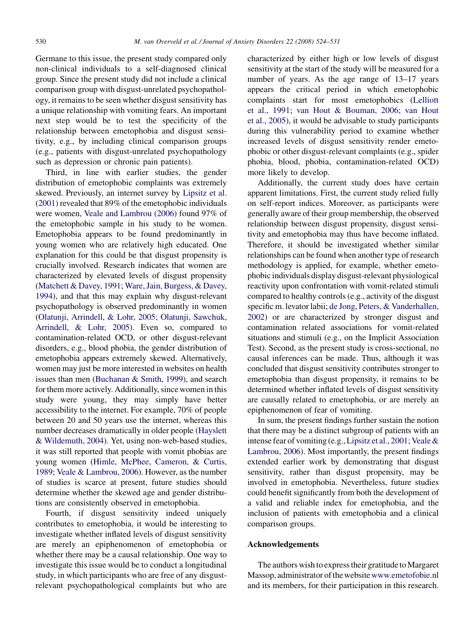Germane to this issue, the present study compared only non-clinical individuals to a self-diagnosed clinical group. Since the present study did not include a clinical comparison group with disgust-unrelated psychopathology, it remains to be seen whether disgust sensitivity has a unique relationship with vomiting fears. An important next step would be to test the specificity of the relationship between emetophobia and disgust sensitivity, e.g., by including clinical comparison groups (e.g., patients with disgust-unrelated psychopathology such as depression or chronic pain patients).

Third, in line with earlier studies, the gender distribution of emetophobic complaints was extremely skewed. Previously, an internet survey by [Lipsitz et al.](#page-7-0) [\(2001\)](#page-7-0) revealed that 89% of the emetophobic individuals were women, [Veale and Lambrou \(2006\)](#page-7-0) found 97% of the emetophobic sample in his study to be women. Emetophobia appears to be found predominantly in young women who are relatively high educated. One explanation for this could be that disgust propensity is crucially involved. Research indicates that women are characterized by elevated levels of disgust propensity [\(Matchett & Davey, 1991;](#page-7-0) [Ware, Jain, Burgess, & Davey,](#page-7-0) [1994\)](#page-7-0), and that this may explain why disgust-relevant psychopathology is observed predominantly in women [\(Olatunji, Arrindell, & Lohr, 2005;](#page-7-0) [Olatunji, Sawchuk,](#page-7-0) [Arrindell, & Lohr, 2005\)](#page-7-0). Even so, compared to contamination-related OCD, or other disgust-relevant disorders, e.g., blood phobia, the gender distribution of emetophobia appears extremely skewed. Alternatively, women may just be more interested in websites on health issues than men [\(Buchanan & Smith, 1999\)](#page-7-0), and search for them more actively. Additionally, since women in this study were young, they may simply have better accessibility to the internet. For example, 70% of people between 20 and 50 years use the internet, whereas this number decreases dramatically in older people [\(Hayslett](#page-7-0) [& Wildemuth, 2004](#page-7-0)). Yet, using non-web-based studies, it was still reported that people with vomit phobias are young women ([Himle, McPhee, Cameron, & Curtis,](#page-7-0) [1989;](#page-7-0) [Veale & Lambrou, 2006](#page-7-0)). However, as the number of studies is scarce at present, future studies should determine whether the skewed age and gender distributions are consistently observed in emetophobia.

Fourth, if disgust sensitivity indeed uniquely contributes to emetophobia, it would be interesting to investigate whether inflated levels of disgust sensitivity are merely an epiphenomenon of emetophobia or whether there may be a causal relationship. One way to investigate this issue would be to conduct a longitudinal study, in which participants who are free of any disgustrelevant psychopathological complaints but who are

characterized by either high or low levels of disgust sensitivity at the start of the study will be measured for a number of years. As the age range of 13–17 years appears the critical period in which emetophobic complaints start for most emetophobics ([Lelliott](#page-7-0) [et al., 1991](#page-7-0); [van Hout & Bouman, 2006;](#page-7-0) [van Hout](#page-7-0) [et al., 2005\)](#page-7-0), it would be advisable to study participants during this vulnerability period to examine whether increased levels of disgust sensitivity render emetophobic or other disgust-relevant complaints (e.g., spider phobia, blood, phobia, contamination-related OCD) more likely to develop.

Additionally, the current study does have certain apparent limitations. First, the current study relied fully on self-report indices. Moreover, as participants were generally aware of their group membership, the observed relationship between disgust propensity, disgust sensitivity and emetophobia may thus have become inflated. Therefore, it should be investigated whether similar relationships can be found when another type of research methodology is applied, for example, whether emetophobic individuals display disgust-relevant physiological reactivity upon confrontation with vomit-related stimuli compared to healthy controls (e.g., activity of the disgust specific m. levator labii; [de Jong, Peters, & Vanderhallen,](#page-7-0) [2002\)](#page-7-0) or are characterized by stronger disgust and contamination related associations for vomit-related situations and stimuli (e.g., on the Implicit Association Test). Second, as the present study is cross-sectional, no causal inferences can be made. Thus, although it was concluded that disgust sensitivity contributes stronger to emetophobia than disgust propensity, it remains to be determined whether inflated levels of disgust sensitivity are causally related to emetophobia, or are merely an epiphenomenon of fear of vomiting.

In sum, the present findings further sustain the notion that there may be a distinct subgroup of patients with an intense fear of vomiting (e.g.,[Lipsitz et al., 2001;](#page-7-0) [Veale &](#page-7-0) [Lambrou, 2006](#page-7-0)). Most importantly, the present findings extended earlier work by demonstrating that disgust sensitivity, rather than disgust propensity, may be involved in emetophobia. Nevertheless, future studies could benefit significantly from both the development of a valid and reliable index for emetophobia, and the inclusion of patients with emetophobia and a clinical comparison groups.

## Acknowledgements

The authors wish to express their gratitude to Margaret Massop, administrator of the website [www.emetofobie.nl](http://www.emetofobie.nl/) and its members, for their participation in this research.